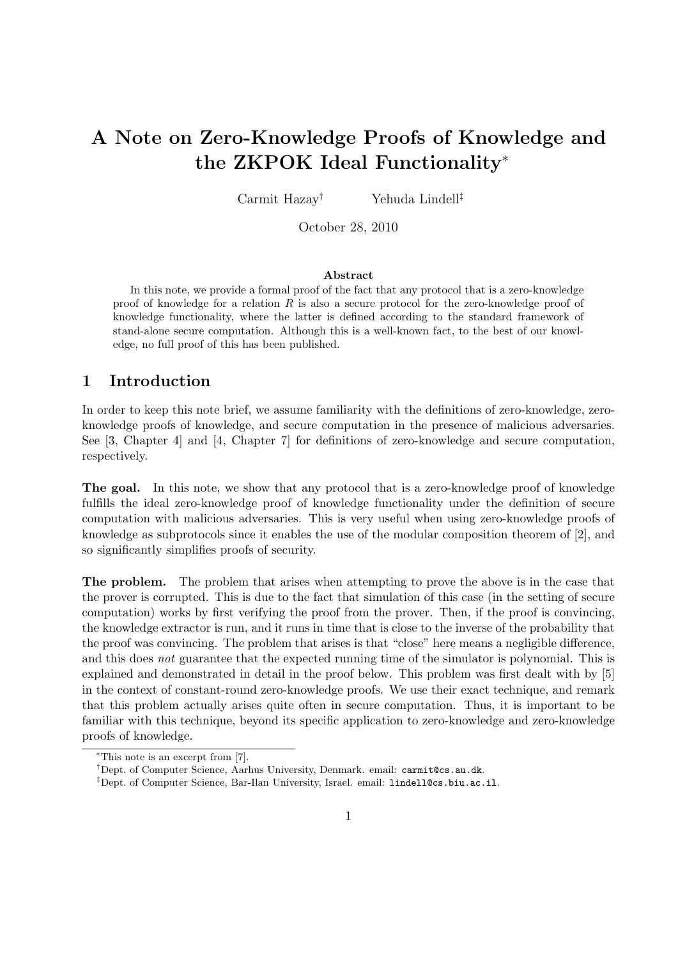# **A Note on Zero-Knowledge Proofs of Knowledge and the ZKPOK Ideal Functionality***<sup>∗</sup>*

Carmit Hazay*†* Yehuda Lindell*‡*

October 28, 2010

### **Abstract**

In this note, we provide a formal proof of the fact that any protocol that is a zero-knowledge proof of knowledge for a relation *R* is also a secure protocol for the zero-knowledge proof of knowledge functionality, where the latter is defined according to the standard framework of stand-alone secure computation. Although this is a well-known fact, to the best of our knowledge, no full proof of this has been published.

## **1 Introduction**

In order to keep this note brief, we assume familiarity with the definitions of zero-knowledge, zeroknowledge proofs of knowledge, and secure computation in the presence of malicious adversaries. See [3, Chapter 4] and [4, Chapter 7] for definitions of zero-knowledge and secure computation, respectively.

**The goal.** In this note, we show that any protocol that is a zero-knowledge proof of knowledge fulfills the ideal zero-knowledge proof of knowledge functionality under the definition of secure computation with malicious adversaries. This is very useful when using zero-knowledge proofs of knowledge as subprotocols since it enables the use of the modular composition theorem of [2], and so significantly simplifies proofs of security.

**The problem.** The problem that arises when attempting to prove the above is in the case that the prover is corrupted. This is due to the fact that simulation of this case (in the setting of secure computation) works by first verifying the proof from the prover. Then, if the proof is convincing, the knowledge extractor is run, and it runs in time that is close to the inverse of the probability that the proof was convincing. The problem that arises is that "close" here means a negligible difference, and this does *not* guarantee that the expected running time of the simulator is polynomial. This is explained and demonstrated in detail in the proof below. This problem was first dealt with by [5] in the context of constant-round zero-knowledge proofs. We use their exact technique, and remark that this problem actually arises quite often in secure computation. Thus, it is important to be familiar with this technique, beyond its specific application to zero-knowledge and zero-knowledge proofs of knowledge.

*<sup>∗</sup>*This note is an excerpt from [7].

*<sup>†</sup>*Dept. of Computer Science, Aarhus University, Denmark. email: carmit@cs.au.dk.

*<sup>‡</sup>*Dept. of Computer Science, Bar-Ilan University, Israel. email: lindell@cs.biu.ac.il.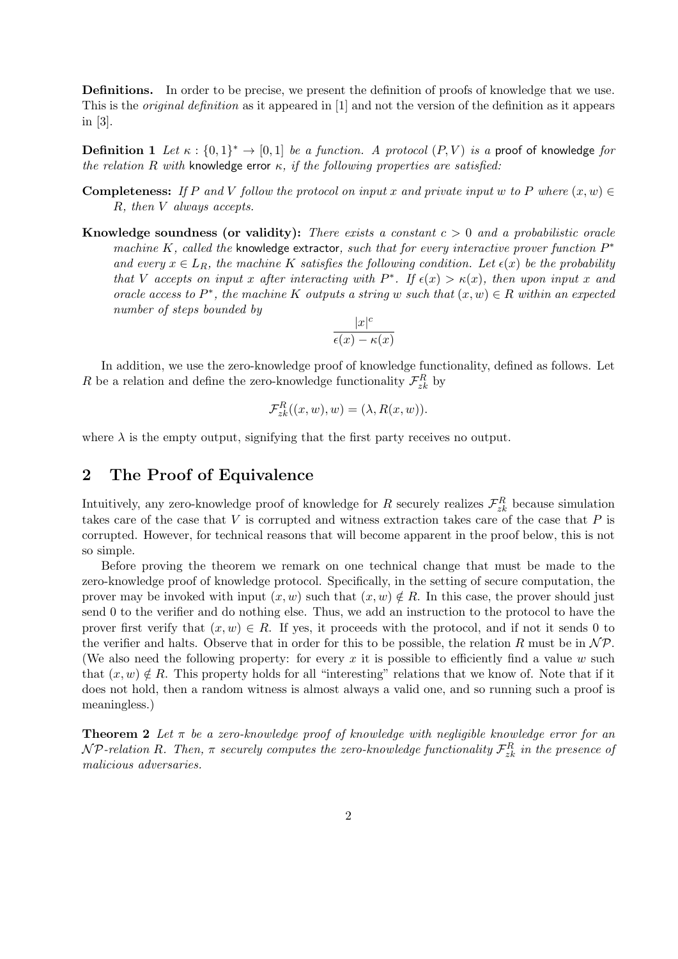**Definitions.** In order to be precise, we present the definition of proofs of knowledge that we use. This is the *original definition* as it appeared in [1] and not the version of the definition as it appears in [3].

**Definition 1** Let  $\kappa : \{0,1\}^* \to [0,1]$  be a function. A protocol  $(P, V)$  is a proof of knowledge for *the relation R with* knowledge error *κ, if the following properties are satisfied:*

- **Completeness:** *If*  $P$  *and*  $V$  *follow the protocol on input*  $x$  *and private input*  $w$  *to*  $P$  *where*  $(x, w) \in$ *R, then V always accepts.*
- **Knowledge soundness (or validity):** *There exists a constant c >* 0 *and a probabilistic oracle machine K, called the* knowledge extractor*, such that for every interactive prover function P ∗* and every  $x \in L_R$ , the machine K satisfies the following condition. Let  $\epsilon(x)$  be the probability *that V accepts on input x after interacting with*  $P^*$ *. If*  $\epsilon(x) > \kappa(x)$ *, then upon input x and oracle access to*  $P^*$ , the machine K *outputs a string*  $w$  *such that*  $(x, w) \in R$  *within an expected number of steps bounded by*

$$
\frac{|x|^c}{\epsilon(x) - \kappa(x)}
$$

In addition, we use the zero-knowledge proof of knowledge functionality, defined as follows. Let *R* be a relation and define the zero-knowledge functionality  $\mathcal{F}_{zk}^R$  by

$$
\mathcal{F}_{zk}^{R}((x,w),w) = (\lambda, R(x,w)).
$$

where  $\lambda$  is the empty output, signifying that the first party receives no output.

# **2 The Proof of Equivalence**

Intuitively, any zero-knowledge proof of knowledge for *R* securely realizes  $\mathcal{F}_{zk}^R$  because simulation takes care of the case that *V* is corrupted and witness extraction takes care of the case that *P* is corrupted. However, for technical reasons that will become apparent in the proof below, this is not so simple.

Before proving the theorem we remark on one technical change that must be made to the zero-knowledge proof of knowledge protocol. Specifically, in the setting of secure computation, the prover may be invoked with input  $(x, w)$  such that  $(x, w) \notin R$ . In this case, the prover should just send 0 to the verifier and do nothing else. Thus, we add an instruction to the protocol to have the prover first verify that  $(x, w) \in R$ . If yes, it proceeds with the protocol, and if not it sends 0 to the verifier and halts. Observe that in order for this to be possible, the relation *R* must be in  $N\mathcal{P}$ . (We also need the following property: for every  $x$  it is possible to efficiently find a value  $w$  such that  $(x, w) \notin R$ . This property holds for all "interesting" relations that we know of. Note that if it does not hold, then a random witness is almost always a valid one, and so running such a proof is meaningless.)

**Theorem 2** *Let π be a zero-knowledge proof of knowledge with negligible knowledge error for an*  $\cal NP$ *-relation*  $R$ *. Then,*  $\pi$  *securely computes the zero-knowledge functionality*  $\mathcal{F}_{zk}^R$  *in the presence of malicious adversaries.*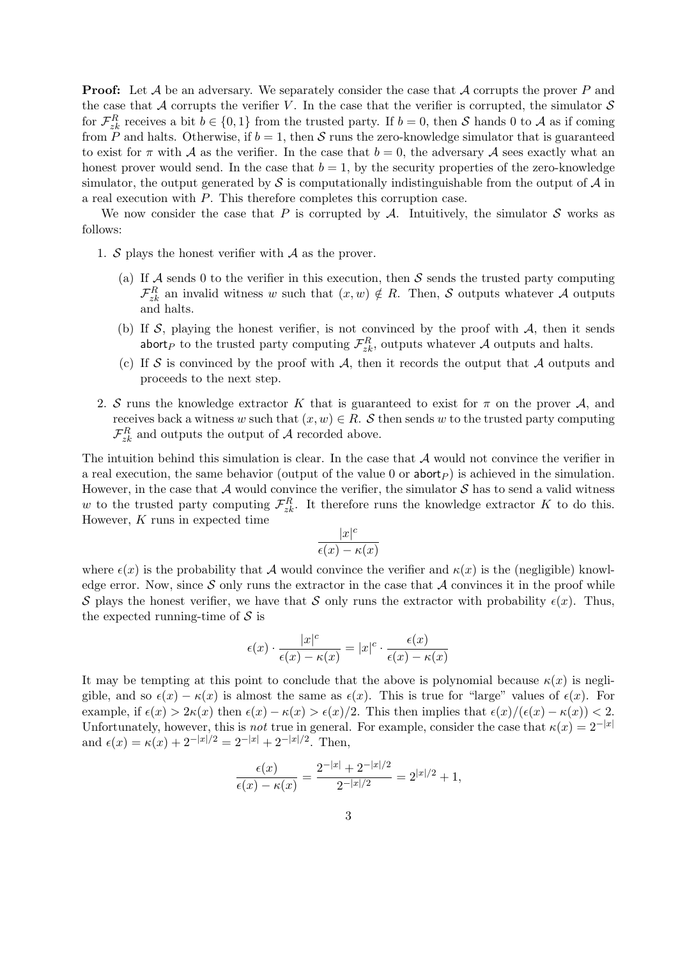**Proof:** Let *A* be an adversary. We separately consider the case that *A* corrupts the prover *P* and the case that  $A$  corrupts the verifier  $V$ . In the case that the verifier is corrupted, the simulator  $S$ for  $\mathcal{F}_{z\hat{k}}^R$  receives a bit  $b \in \{0,1\}$  from the trusted party. If  $b = 0$ , then *S* hands 0 to *A* as if coming from *P* and halts. Otherwise, if  $b = 1$ , then *S* runs the zero-knowledge simulator that is guaranteed to exist for  $\pi$  with  $\mathcal A$  as the verifier. In the case that  $b = 0$ , the adversary  $\mathcal A$  sees exactly what an honest prover would send. In the case that  $b = 1$ , by the security properties of the zero-knowledge simulator, the output generated by  $\mathcal S$  is computationally indistinguishable from the output of  $\mathcal A$  in a real execution with *P*. This therefore completes this corruption case.

We now consider the case that P is corrupted by  $A$ . Intuitively, the simulator  $S$  works as follows:

- 1. *S* plays the honest verifier with *A* as the prover.
	- (a) If  $A$  sends 0 to the verifier in this execution, then  $S$  sends the trusted party computing  $\mathcal{F}_{zk}^R$  an invalid witness *w* such that  $(x, w) \notin R$ . Then, *S* outputs whatever *A* outputs and halts.
	- (b) If  $S$ , playing the honest verifier, is not convinced by the proof with  $A$ , then it sends abort<sub>*P*</sub> to the trusted party computing  $\mathcal{F}_{zk}^R$ , outputs whatever *A* outputs and halts.
	- (c) If *S* is convinced by the proof with *A*, then it records the output that *A* outputs and proceeds to the next step.
- 2. *S* runs the knowledge extractor *K* that is guaranteed to exist for  $\pi$  on the prover *A*, and receives back a witness *w* such that  $(x, w) \in R$ . *S* then sends *w* to the trusted party computing  $\mathcal{F}_{zk}^R$  and outputs the output of *A* recorded above.

The intuition behind this simulation is clear. In the case that *A* would not convince the verifier in a real execution, the same behavior (output of the value 0 or  $abotr<sub>P</sub>$ ) is achieved in the simulation. However, in the case that  $A$  would convince the verifier, the simulator  $S$  has to send a valid witness *w* to the trusted party computing  $\mathcal{F}_{z\hat{k}}^R$ . It therefore runs the knowledge extractor *K* to do this. However, *K* runs in expected time

$$
\frac{|x|^c}{\epsilon(x) - \kappa(x)}
$$

where  $\epsilon(x)$  is the probability that *A* would convince the verifier and  $\kappa(x)$  is the (negligible) knowledge error. Now, since  $S$  only runs the extractor in the case that  $A$  convinces it in the proof while *S* plays the honest verifier, we have that *S* only runs the extractor with probability  $\epsilon(x)$ . Thus, the expected running-time of *S* is

$$
\epsilon(x) \cdot \frac{|x|^c}{\epsilon(x) - \kappa(x)} = |x|^c \cdot \frac{\epsilon(x)}{\epsilon(x) - \kappa(x)}
$$

It may be tempting at this point to conclude that the above is polynomial because  $\kappa(x)$  is negligible, and so  $\epsilon(x) - \kappa(x)$  is almost the same as  $\epsilon(x)$ . This is true for "large" values of  $\epsilon(x)$ . For example, if  $\epsilon(x) > 2\kappa(x)$  then  $\epsilon(x) - \kappa(x) > \epsilon(x)/2$ . This then implies that  $\epsilon(x)/(\epsilon(x) - \kappa(x)) < 2$ . Unfortunately, however, this is *not* true in general. For example, consider the case that  $\kappa(x) = 2^{-|x|}$ and  $\epsilon(x) = \kappa(x) + 2^{-|x|/2} = 2^{-|x|} + 2^{-|x|/2}$ . Then,

$$
\frac{\epsilon(x)}{\epsilon(x) - \kappa(x)} = \frac{2^{-|x|} + 2^{-|x|/2}}{2^{-|x|/2}} = 2^{|x|/2} + 1,
$$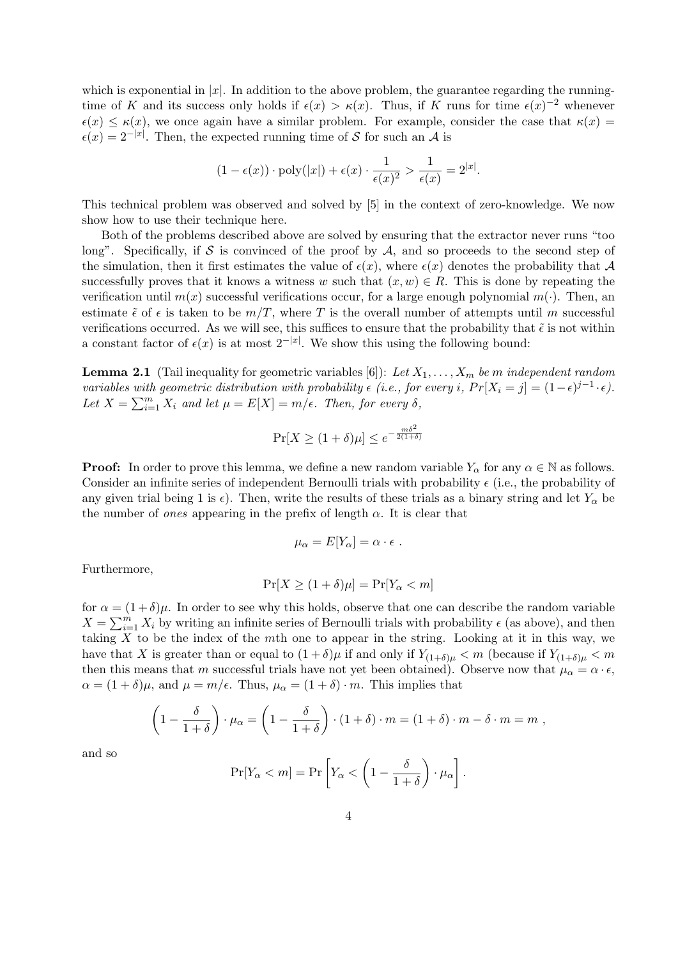which is exponential in  $|x|$ . In addition to the above problem, the guarantee regarding the runningtime of *K* and its success only holds if  $\epsilon(x) > \kappa(x)$ . Thus, if *K* runs for time  $\epsilon(x)^{-2}$  whenever  $\epsilon(x) \leq \kappa(x)$ , we once again have a similar problem. For example, consider the case that  $\kappa(x) =$  $\epsilon(x) = 2^{-|x|}$ . Then, the expected running time of *S* for such an *A* is

$$
(1 - \epsilon(x)) \cdot \text{poly}(|x|) + \epsilon(x) \cdot \frac{1}{\epsilon(x)^2} > \frac{1}{\epsilon(x)} = 2^{|x|}.
$$

This technical problem was observed and solved by [5] in the context of zero-knowledge. We now show how to use their technique here.

Both of the problems described above are solved by ensuring that the extractor never runs "too long". Specifically, if  $S$  is convinced of the proof by  $A$ , and so proceeds to the second step of the simulation, then it first estimates the value of  $\epsilon(x)$ , where  $\epsilon(x)$  denotes the probability that A successfully proves that it knows a witness *w* such that  $(x, w) \in R$ . This is done by repeating the verification until  $m(x)$  successful verifications occur, for a large enough polynomial  $m(\cdot)$ . Then, an estimate  $\tilde{\epsilon}$  of  $\epsilon$  is taken to be  $m/T$ , where T is the overall number of attempts until m successful verifications occurred. As we will see, this suffices to ensure that the probability that  $\tilde{\epsilon}$  is not within a constant factor of  $\epsilon(x)$  is at most  $2^{-|x|}$ . We show this using the following bound:

**Lemma 2.1** (Tail inequality for geometric variables [6]): Let  $X_1, \ldots, X_m$  be *m* independent random *variables with geometric distribution with probability*  $\epsilon$  (*i.e., for every i,*  $Pr[X_i = j] = (1 - \epsilon)^{j-1} \cdot \epsilon$ ). Let  $X = \sum_{i=1}^{m} X_i$  and let  $\mu = E[X] = m/\epsilon$ . Then, for every  $\delta$ ,

$$
\Pr[X \ge (1+\delta)\mu] \le e^{-\frac{m\delta^2}{2(1+\delta)}}
$$

**Proof:** In order to prove this lemma, we define a new random variable  $Y_\alpha$  for any  $\alpha \in \mathbb{N}$  as follows. Consider an infinite series of independent Bernoulli trials with probability  $\epsilon$  (i.e., the probability of any given trial being 1 is  $\epsilon$ ). Then, write the results of these trials as a binary string and let  $Y_\alpha$  be the number of *ones* appearing in the prefix of length *α*. It is clear that

$$
\mu_{\alpha} = E[Y_{\alpha}] = \alpha \cdot \epsilon .
$$

Furthermore,

$$
\Pr[X \ge (1+\delta)\mu] = \Pr[Y_{\alpha} < m]
$$

for  $\alpha = (1 + \delta)\mu$ . In order to see why this holds, observe that one can describe the random variable  $X = \sum_{i=1}^{m} X_i$  by writing an infinite series of Bernoulli trials with probability  $\epsilon$  (as above), and then taking *X* to be the index of the *m*th one to appear in the string. Looking at it in this way, we have that *X* is greater than or equal to  $(1 + \delta)\mu$  if and only if  $Y_{(1+\delta)\mu} < m$  (because if  $Y_{(1+\delta)\mu} < m$ then this means that *m* successful trials have not yet been obtained). Observe now that  $\mu_{\alpha} = \alpha \cdot \epsilon$ ,  $\alpha = (1 + \delta)\mu$ , and  $\mu = m/\epsilon$ . Thus,  $\mu_{\alpha} = (1 + \delta) \cdot m$ . This implies that

$$
\left(1 - \frac{\delta}{1 + \delta}\right) \cdot \mu_{\alpha} = \left(1 - \frac{\delta}{1 + \delta}\right) \cdot (1 + \delta) \cdot m = (1 + \delta) \cdot m - \delta \cdot m = m,
$$

and so

$$
\Pr[Y_{\alpha} < m] = \Pr\left[Y_{\alpha} < \left(1 - \frac{\delta}{1 + \delta}\right) \cdot \mu_{\alpha}\right].
$$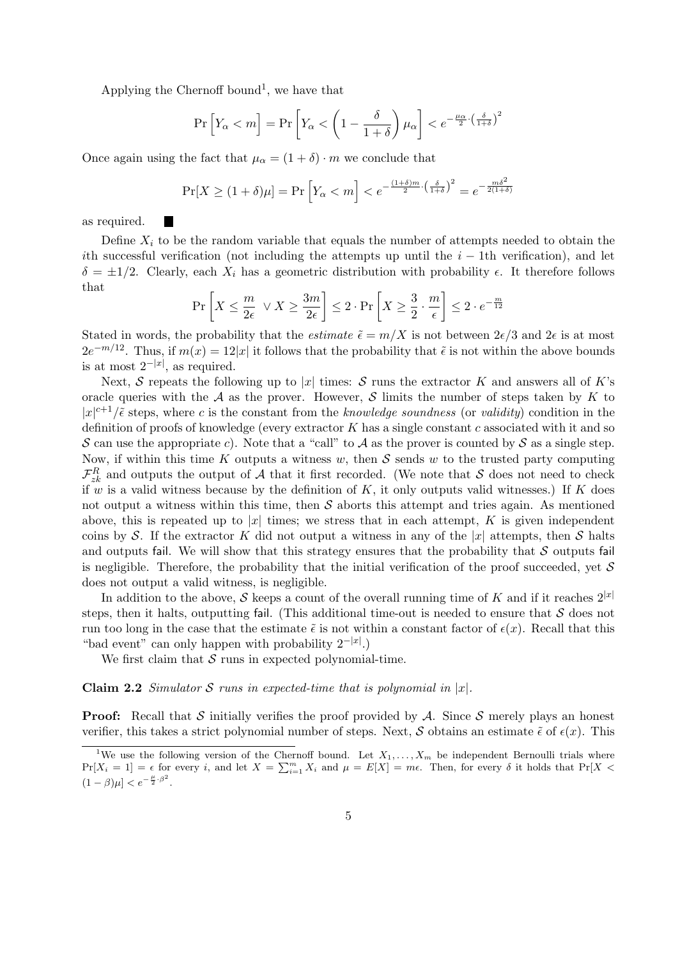Applying the Chernoff bound<sup>1</sup>, we have that

$$
\Pr\left[Y_{\alpha} < m\right] = \Pr\left[Y_{\alpha} < \left(1 - \frac{\delta}{1 + \delta}\right)\mu_{\alpha}\right] < e^{-\frac{\mu_{\alpha}}{2}\cdot\left(\frac{\delta}{1 + \delta}\right)^{2}}
$$

Once again using the fact that  $\mu_{\alpha} = (1 + \delta) \cdot m$  we conclude that

$$
\Pr[X \ge (1+\delta)\mu] = \Pr\left[Y_{\alpha} < m\right] < e^{-\frac{(1+\delta)m}{2} \cdot \left(\frac{\delta}{1+\delta}\right)^2} = e^{-\frac{m\delta^2}{2(1+\delta)}}
$$

as required.

H.

Define  $X_i$  to be the random variable that equals the number of attempts needed to obtain the *i*th successful verification (not including the attempts up until the *i* − 1th verification), and let  $δ = ±1/2$ . Clearly, each  $X_i$  has a geometric distribution with probability  $ε$ . It therefore follows that

$$
\Pr\left[X \le \frac{m}{2\epsilon} \ \lor X \ge \frac{3m}{2\epsilon}\right] \le 2 \cdot \Pr\left[X \ge \frac{3}{2} \cdot \frac{m}{\epsilon}\right] \le 2 \cdot e^{-\frac{m}{12}}
$$

Stated in words, the probability that the *estimate*  $\tilde{\epsilon} = m/X$  is not between  $2\epsilon/3$  and  $2\epsilon$  is at most  $2e^{-m/12}$ . Thus, if  $m(x) = 12|x|$  it follows that the probability that  $\tilde{\epsilon}$  is not within the above bounds is at most 2*−|x<sup>|</sup>* , as required.

Next,  $S$  repeats the following up to |*x*| times:  $S$  runs the extractor  $K$  and answers all of  $K$ 's oracle queries with the  $A$  as the prover. However,  $S$  limits the number of steps taken by  $K$  to  $|x|^{c+1}/\tilde{\epsilon}$  steps, where *c* is the constant from the *knowledge soundness* (or *validity*) condition in the definition of proofs of knowledge (every extractor *K* has a single constant *c* associated with it and so *S* can use the appropriate *c*). Note that a "call" to *A* as the prover is counted by *S* as a single step. Now, if within this time *K* outputs a witness *w*, then *S* sends *w* to the trusted party computing  $\mathcal{F}_{zk}^R$  and outputs the output of *A* that it first recorded. (We note that *S* does not need to check if *w* is a valid witness because by the definition of *K*, it only outputs valid witnesses.) If *K* does not output a witness within this time, then  $S$  aborts this attempt and tries again. As mentioned above, this is repeated up to  $|x|$  times; we stress that in each attempt, K is given independent coins by *S*. If the extractor *K* did not output a witness in any of the  $|x|$  attempts, then *S* halts and outputs fail. We will show that this strategy ensures that the probability that *S* outputs fail is negligible. Therefore, the probability that the initial verification of the proof succeeded, yet *S* does not output a valid witness, is negligible.

In addition to the above,  $S$  keeps a count of the overall running time of  $K$  and if it reaches  $2^{|x|}$ steps, then it halts, outputting fail. (This additional time-out is needed to ensure that *S* does not run too long in the case that the estimate  $\tilde{\epsilon}$  is not within a constant factor of  $\epsilon(x)$ . Recall that this "bad event" can only happen with probability 2*−|x<sup>|</sup>* .)

We first claim that  $S$  runs in expected polynomial-time.

**Claim 2.2** *Simulator S runs in expected-time that is polynomial in*  $|x|$ *.* 

**Proof:** Recall that *S* initially verifies the proof provided by *A*. Since *S* merely plays an honest verifier, this takes a strict polynomial number of steps. Next, *S* obtains an estimate  $\tilde{\epsilon}$  of  $\epsilon(x)$ . This

<sup>&</sup>lt;sup>1</sup>We use the following version of the Chernoff bound. Let  $X_1, \ldots, X_m$  be independent Bernoulli trials where  $Pr[X_i = 1] = \epsilon$  for every *i*, and let  $X = \sum_{i=1}^{m} X_i$  and  $\mu = E[X] = m\epsilon$ . Then, for every  $\delta$  it holds that  $Pr[X \leq$  $(1 - \beta)\mu$ ]  $\lt e^{-\frac{\mu}{2} \cdot \beta^2}$ .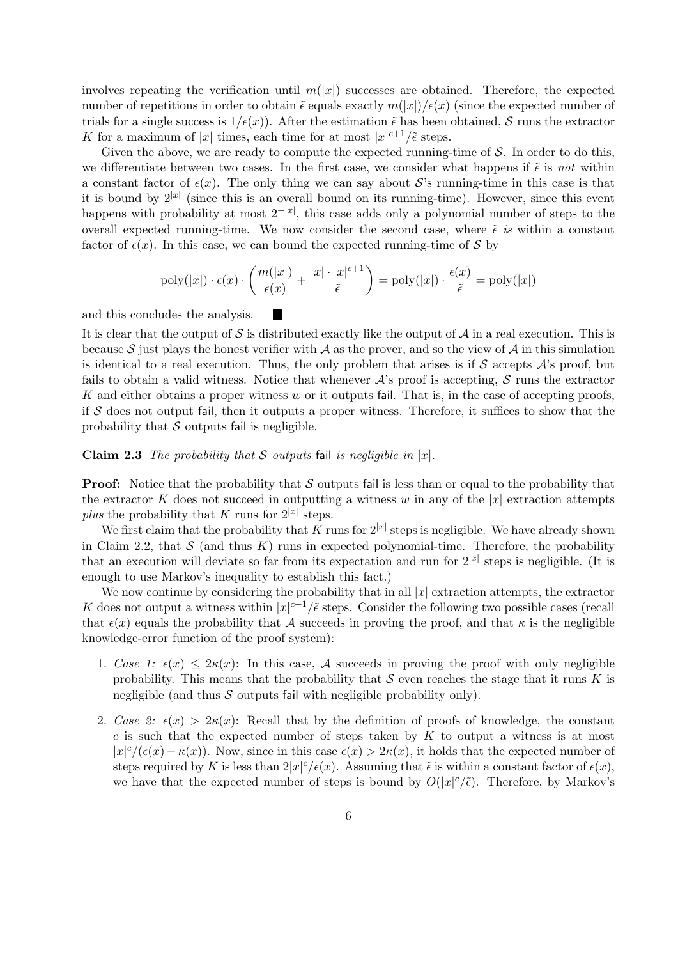involves repeating the verification until  $m(|x|)$  successes are obtained. Therefore, the expected number of repetitions in order to obtain  $\tilde{\epsilon}$  equals exactly  $m(|x|)/\epsilon(x)$  (since the expected number of trials for a single success is  $1/\epsilon(x)$ ). After the estimation  $\tilde{\epsilon}$  has been obtained, *S* runs the extractor *K* for a maximum of  $|x|$  times, each time for at most  $|x|^{c+1}/\tilde{\epsilon}$  steps.

Given the above, we are ready to compute the expected running-time of *S*. In order to do this, we differentiate between two cases. In the first case, we consider what happens if  $\tilde{\epsilon}$  is *not* within a constant factor of  $\epsilon(x)$ . The only thing we can say about *S*'s running-time in this case is that it is bound by  $2^{|x|}$  (since this is an overall bound on its running-time). However, since this event happens with probability at most 2*−|x<sup>|</sup>* , this case adds only a polynomial number of steps to the overall expected running-time. We now consider the second case, where  $\tilde{\epsilon}$  *is* within a constant factor of  $\epsilon(x)$ . In this case, we can bound the expected running-time of *S* by

$$
poly(|x|) \cdot \epsilon(x) \cdot \left(\frac{m(|x|)}{\epsilon(x)} + \frac{|x| \cdot |x|^{c+1}}{\tilde{\epsilon}}\right) = poly(|x|) \cdot \frac{\epsilon(x)}{\tilde{\epsilon}} = poly(|x|)
$$

and this concludes the analysis.

It is clear that the output of *S* is distributed exactly like the output of *A* in a real execution. This is because  $S$  just plays the honest verifier with  $A$  as the prover, and so the view of  $A$  in this simulation is identical to a real execution. Thus, the only problem that arises is if  $S$  accepts  $A$ 's proof, but fails to obtain a valid witness. Notice that whenever *A*'s proof is accepting, *S* runs the extractor *K* and either obtains a proper witness *w* or it outputs fail. That is, in the case of accepting proofs, if *S* does not output fail, then it outputs a proper witness. Therefore, it suffices to show that the probability that  $S$  outputs fail is negligible.

**Claim 2.3** *The probability that S outputs* fail *is negligible in |x|.*

**College** 

**Proof:** Notice that the probability that *S* outputs fail is less than or equal to the probability that the extractor *K* does not succeed in outputting a witness *w* in any of the  $|x|$  extraction attempts *plus* the probability that *K* runs for  $2^{|x|}$  steps.

We first claim that the probability that *K* runs for  $2^{|x|}$  steps is negligible. We have already shown in Claim 2.2, that  $S$  (and thus  $K$ ) runs in expected polynomial-time. Therefore, the probability that an execution will deviate so far from its expectation and run for  $2^{|x|}$  steps is negligible. (It is enough to use Markov's inequality to establish this fact.)

We now continue by considering the probability that in all  $|x|$  extraction attempts, the extractor *K* does not output a witness within  $|x|^{c+1}/\tilde{e}$  steps. Consider the following two possible cases (recall that  $\epsilon(x)$  equals the probability that *A* succeeds in proving the proof, and that  $\kappa$  is the negligible knowledge-error function of the proof system):

- 1. *Case 1:*  $\epsilon(x) \leq 2\kappa(x)$ : In this case, A succeeds in proving the proof with only negligible probability. This means that the probability that *S* even reaches the stage that it runs *K* is negligible (and thus  $S$  outputs fail with negligible probability only).
- 2. *Case 2:*  $\epsilon(x) > 2\kappa(x)$ : Recall that by the definition of proofs of knowledge, the constant *c* is such that the expected number of steps taken by *K* to output a witness is at most  $|x|^{c}/(\epsilon(x) - \kappa(x))$ . Now, since in this case  $\epsilon(x) > 2\kappa(x)$ , it holds that the expected number of steps required by *K* is less than  $2|x|^c/\epsilon(x)$ . Assuming that  $\tilde{\epsilon}$  is within a constant factor of  $\epsilon(x)$ , we have that the expected number of steps is bound by  $O(|x|^c/\tilde{\epsilon})$ . Therefore, by Markov's